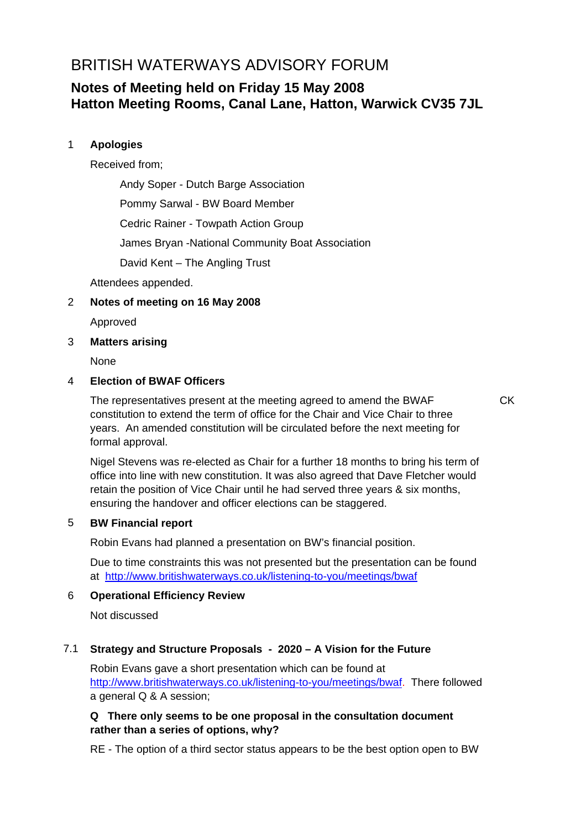# BRITISH WATERWAYS ADVISORY FORUM

## **Notes of Meeting held on Friday 15 May 2008 Hatton Meeting Rooms, Canal Lane, Hatton, Warwick CV35 7JL**

## 1 **Apologies**

Received from;

Andy Soper - Dutch Barge Association

Pommy Sarwal - BW Board Member

Cedric Rainer - Towpath Action Group

James Bryan -National Community Boat Association

David Kent – The Angling Trust

Attendees appended.

#### 2 **Notes of meeting on 16 May 2008**

Approved

#### 3 **Matters arising**

None

#### 4 **Election of BWAF Officers**

The representatives present at the meeting agreed to amend the BWAF constitution to extend the term of office for the Chair and Vice Chair to three years. An amended constitution will be circulated before the next meeting for formal approval.

CK

Nigel Stevens was re-elected as Chair for a further 18 months to bring his term of office into line with new constitution. It was also agreed that Dave Fletcher would retain the position of Vice Chair until he had served three years & six months, ensuring the handover and officer elections can be staggered.

#### 5 **BW Financial report**

Robin Evans had planned a presentation on BW's financial position.

Due to time constraints this was not presented but the presentation can be found at <http://www.britishwaterways.co.uk/listening-to-you/meetings/bwaf>

#### 6 **Operational Efficiency Review**

Not discussed

## 7.1 **Strategy and Structure Proposals - 2020 – A Vision for the Future**

Robin Evans gave a short presentation which can be found at <http://www.britishwaterways.co.uk/listening-to-you/meetings/bwaf>. There followed a general Q & A session;

## **Q There only seems to be one proposal in the consultation document rather than a series of options, why?**

RE - The option of a third sector status appears to be the best option open to BW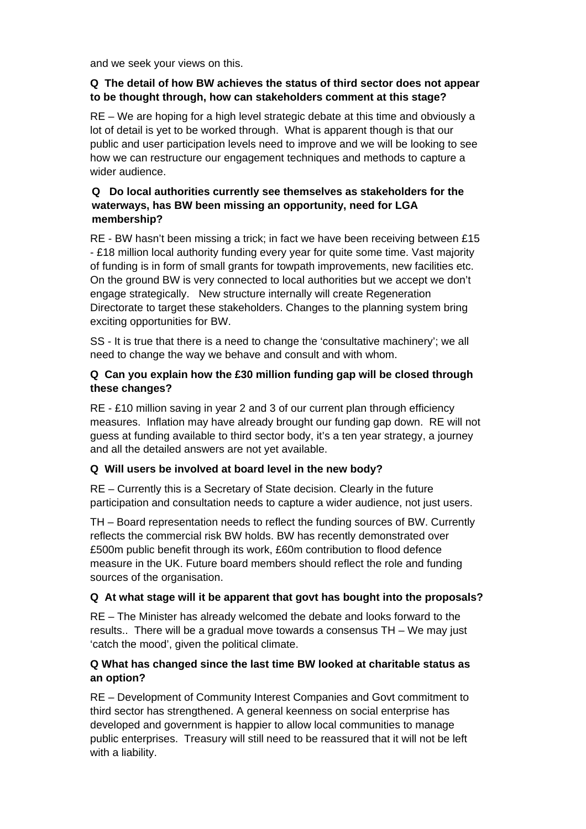and we seek your views on this.

## **Q The detail of how BW achieves the status of third sector does not appear to be thought through, how can stakeholders comment at this stage?**

RE – We are hoping for a high level strategic debate at this time and obviously a lot of detail is yet to be worked through. What is apparent though is that our public and user participation levels need to improve and we will be looking to see how we can restructure our engagement techniques and methods to capture a wider audience.

## **Q Do local authorities currently see themselves as stakeholders for the waterways, has BW been missing an opportunity, need for LGA membership?**

RE - BW hasn't been missing a trick; in fact we have been receiving between £15 - £18 million local authority funding every year for quite some time. Vast majority of funding is in form of small grants for towpath improvements, new facilities etc. On the ground BW is very connected to local authorities but we accept we don't engage strategically. New structure internally will create Regeneration Directorate to target these stakeholders. Changes to the planning system bring exciting opportunities for BW.

SS - It is true that there is a need to change the 'consultative machinery'; we all need to change the way we behave and consult and with whom.

## **Q Can you explain how the £30 million funding gap will be closed through these changes?**

RE - £10 million saving in year 2 and 3 of our current plan through efficiency measures. Inflation may have already brought our funding gap down. RE will not guess at funding available to third sector body, it's a ten year strategy, a journey and all the detailed answers are not yet available.

## **Q Will users be involved at board level in the new body?**

RE – Currently this is a Secretary of State decision. Clearly in the future participation and consultation needs to capture a wider audience, not just users.

TH – Board representation needs to reflect the funding sources of BW. Currently reflects the commercial risk BW holds. BW has recently demonstrated over £500m public benefit through its work, £60m contribution to flood defence measure in the UK. Future board members should reflect the role and funding sources of the organisation.

#### **Q At what stage will it be apparent that govt has bought into the proposals?**

RE – The Minister has already welcomed the debate and looks forward to the results.. There will be a gradual move towards a consensus TH – We may just 'catch the mood', given the political climate.

## **Q What has changed since the last time BW looked at charitable status as an option?**

RE – Development of Community Interest Companies and Govt commitment to third sector has strengthened. A general keenness on social enterprise has developed and government is happier to allow local communities to manage public enterprises. Treasury will still need to be reassured that it will not be left with a liability.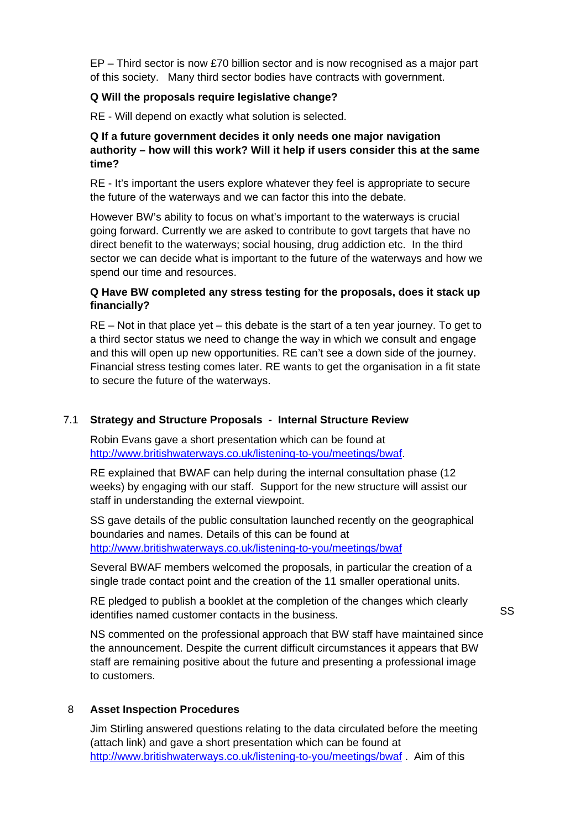EP – Third sector is now £70 billion sector and is now recognised as a major part of this society. Many third sector bodies have contracts with government.

### **Q Will the proposals require legislative change?**

RE - Will depend on exactly what solution is selected.

## **Q If a future government decides it only needs one major navigation authority – how will this work? Will it help if users consider this at the same time?**

RE - It's important the users explore whatever they feel is appropriate to secure the future of the waterways and we can factor this into the debate.

However BW's ability to focus on what's important to the waterways is crucial going forward. Currently we are asked to contribute to govt targets that have no direct benefit to the waterways; social housing, drug addiction etc. In the third sector we can decide what is important to the future of the waterways and how we spend our time and resources.

### **Q Have BW completed any stress testing for the proposals, does it stack up financially?**

RE – Not in that place yet – this debate is the start of a ten year journey. To get to a third sector status we need to change the way in which we consult and engage and this will open up new opportunities. RE can't see a down side of the journey. Financial stress testing comes later. RE wants to get the organisation in a fit state to secure the future of the waterways.

### 7.1 **Strategy and Structure Proposals - Internal Structure Review**

Robin Evans gave a short presentation which can be found at <http://www.britishwaterways.co.uk/listening-to-you/meetings/bwaf>.

RE explained that BWAF can help during the internal consultation phase (12 weeks) by engaging with our staff. Support for the new structure will assist our staff in understanding the external viewpoint.

SS gave details of the public consultation launched recently on the geographical boundaries and names. Details of this can be found at <http://www.britishwaterways.co.uk/listening-to-you/meetings/bwaf>

Several BWAF members welcomed the proposals, in particular the creation of a single trade contact point and the creation of the 11 smaller operational units.

RE pledged to publish a booklet at the completion of the changes which clearly identifies named customer contacts in the business.

SS

NS commented on the professional approach that BW staff have maintained since the announcement. Despite the current difficult circumstances it appears that BW staff are remaining positive about the future and presenting a professional image to customers.

#### 8 **Asset Inspection Procedures**

Jim Stirling answered questions relating to the data circulated before the meeting (attach link) and gave a short presentation which can be found at <http://www.britishwaterways.co.uk/listening-to-you/meetings/bwaf> . Aim of this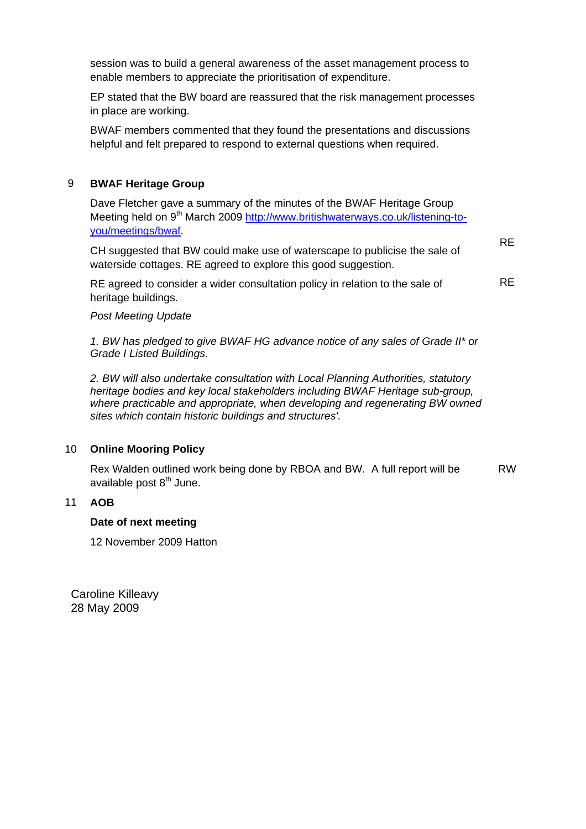session was to build a general awareness of the asset management process to enable members to appreciate the prioritisation of expenditure.

EP stated that the BW board are reassured that the risk management processes in place are working.

BWAF members commented that they found the presentations and discussions helpful and felt prepared to respond to external questions when required.

#### 9 **BWAF Heritage Group**

Dave Fletcher gave a summary of the minutes of the BWAF Heritage Group Meeting held on 9<sup>th</sup> March 2009 [http://www.britishwaterways.co.uk/listening-to](http://www.britishwaterways.co.uk/listening-to-you/meetings/bwaf)[you/meetings/bwaf](http://www.britishwaterways.co.uk/listening-to-you/meetings/bwaf).

CH suggested that BW could make use of waterscape to publicise the sale of waterside cottages. RE agreed to explore this good suggestion.

RE

RE

RE agreed to consider a wider consultation policy in relation to the sale of heritage buildings.

#### *Post Meeting Update*

*1. BW has pledged to give BWAF HG advance notice of any sales of Grade II\* or Grade I Listed Buildings.* 

*2. BW will also undertake consultation with Local Planning Authorities, statutory heritage bodies and key local stakeholders including BWAF Heritage sub-group, where practicable and appropriate, when developing and regenerating BW owned sites which contain historic buildings and structures'.* 

#### 10 **Online Mooring Policy**

Rex Walden outlined work being done by RBOA and BW. A full report will be available post  $8<sup>th</sup>$  June. RW

#### 11 **AOB**

#### **Date of next meeting**

12 November 2009 Hatton

Caroline Killeavy 28 May 2009